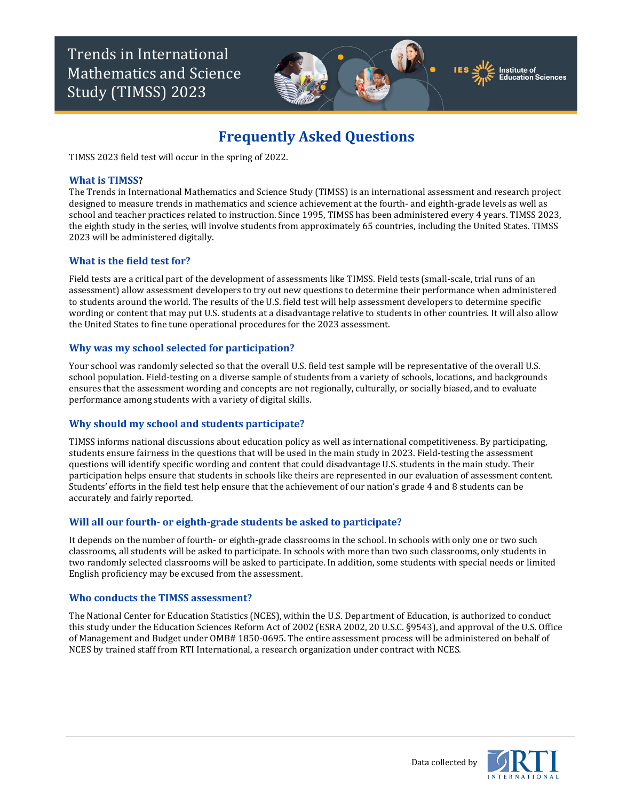Trends in International Mathematics and Science Study (TIMSS) 2023



TIMSS 2023 field test will occur in the spring of 2022.

### **What is TIMSS?**

The Trends in International Mathematics and Science Study (TIMSS) is an international assessment and research project designed to measure trends in mathematics and science achievement at the fourth- and eighth-grade levels as well as school and teacher practices related to instruction. Since 1995, TIMSS has been administered every 4 years. TIMSS 2023, the eighth study in the series, will involve students from approximately 65 countries, including the United States. TIMSS 2023 will be administered digitally.

### **What is the field test for?**

Field tests are a critical part of the development of assessments like TIMSS. Field tests (small-scale, trial runs of an assessment) allow assessment developers to try out new questions to determine their performance when administered to students around the world. The results of the U.S. field test will help assessment developers to determine specific wording or content that may put U.S. students at a disadvantage relative to students in other countries. It will also allow the United States to fine tune operational procedures for the 2023 assessment.

### **Why was my school selected for participation?**

Your school was randomly selected so that the overall U.S. field test sample will be representative of the overall U.S. school population. Field-testing on a diverse sample of students from a variety of schools, locations, and backgrounds ensures that the assessment wording and concepts are not regionally, culturally, or socially biased, and to evaluate performance among students with a variety of digital skills.

#### **Why should my school and students participate?**

TIMSS informs national discussions about education policy as well as international competitiveness. By participating, students ensure fairness in the questions that will be used in the main study in 2023. Field-testing the assessment questions will identify specific wording and content that could disadvantage U.S. students in the main study. Their participation helps ensure that students in schools like theirs are represented in our evaluation of assessment content. Students' efforts in the field test help ensure that the achievement of our nation's grade 4 and 8 students can be accurately and fairly reported.

### **Will all our fourth- or eighth-grade students be asked to participate?**

It depends on the number of fourth- or eighth-grade classrooms in the school. In schools with only one or two such classrooms, all students will be asked to participate. In schools with more than two such classrooms, only students in two randomly selected classrooms will be asked to participate. In addition, some students with special needs or limited English proficiency may be excused from the assessment.

#### **Who conducts the TIMSS assessment?**

The National Center for Education Statistics (NCES), within the U.S. Department of Education, is authorized to conduct this study under the Education Sciences Reform Act of 2002 (ESRA 2002, 20 U.S.C. §9543), and approval of the U.S. Office of Management and Budget under OMB# 1850-0695. The entire assessment process will be administered on behalf of NCES by trained staff from RTI International, a research organization under contract with NCES.





nstitute of lucation Sciences